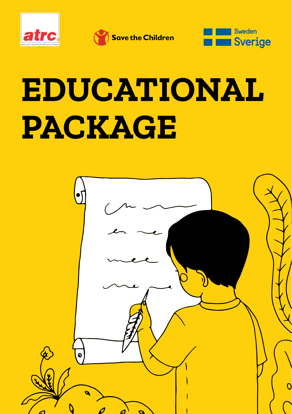





# **EDUCATIONAL PACKAGE**

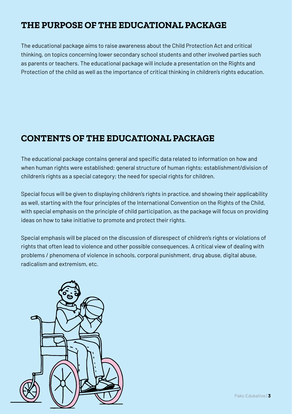### **THE PURPOSE OF THE EDUCATIONAL PACKAGE**

The educational package aims to raise awareness about the Child Protection Act and critical thinking, on topics concerning lower secondary school students and other involved parties such as parents or teachers. The educational package will include a presentation on the Rights and Protection of the child as well as the importance of critical thinking in children's rights education.

### **CONTENTS OF THE EDUCATIONAL PACKAGE**

The educational package contains general and specific data related to information on how and when human rights were established; general structure of human rights; establishment/division of children's rights as a special category; the need for special rights for children.

Special focus will be given to displaying children's rights in practice, and showing their applicability as well, starting with the four principles of the International Convention on the Rights of the Child, with special emphasis on the principle of child participation, as the package will focus on providing ideas on how to take initiative to promote and protect their rights.

Special emphasis will be placed on the discussion of disrespect of children's rights or violations of rights that often lead to violence and other possible consequences. A critical view of dealing with problems / phenomena of violence in schools, corporal punishment, drug abuse, digital abuse, radicalism and extremism, etc.

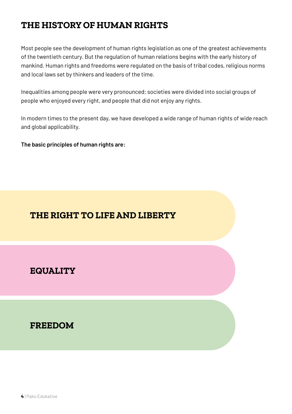### **THE HISTORY OF HUMAN RIGHTS**

Most people see the development of human rights legislation as one of the greatest achievements of the twentieth century. But the regulation of human relations begins with the early history of mankind. Human rights and freedoms were regulated on the basis of tribal codes, religious norms and local laws set by thinkers and leaders of the time.

Inequalities among people were very pronounced; societies were divided into social groups of people who enjoyed every right, and people that did not enjoy any rights.

In modern times to the present day, we have developed a wide range of human rights of wide reach and global applicability.

**The basic principles of human rights are:**

### **THE RIGHT TO LIFE AND LIBERTY**

### **EQUALITY**

### **FREEDOM**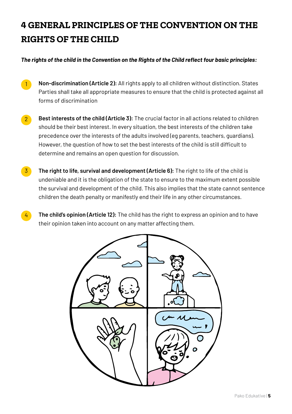# **4 GENERAL PRINCIPLES OF THE CONVENTION ON THE RIGHTS OF THE CHILD**

#### *The rights of the child in the Convention on the Rights of the Child reflect four basic principles:*

- **Non-discrimination (Article 2):** All rights apply to all children without distinction. States Parties shall take all appropriate measures to ensure that the child is protected against all forms of discrimination 1
- **Best interests of the child (Article 3):** The crucial factor in all actions related to children should be their best interest. In every situation, the best interests of the children take precedence over the interests of the adults involved (eg parents, teachers, guardians). However, the question of how to set the best interests of the child is still difficult to determine and remains an open question for discussion. 2
- **The right to life, survival and development (Article 6):** The right to life of the child is undeniable and it is the obligation of the state to ensure to the maximum extent possible the survival and development of the child. This also implies that the state cannot sentence children the death penalty or manifestly end their life in any other circumstances. 3
- **The child's opinion (Article 12):** The child has the right to express an opinion and to have their opinion taken into account on any matter affecting them. 4

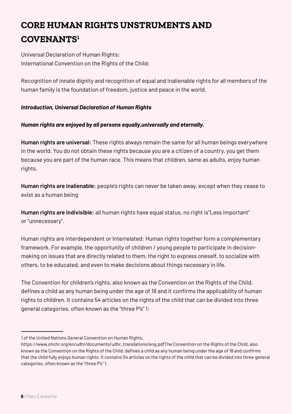# **CORE HUMAN RIGHTS UNSTRUMENTS AND COVENANTS1**

Universal Declaration of Human Rights; International Convention on the Rights of the Child;

Recognition of innate dignity and recognition of equal and inalienable rights for all members of the human family is the foundation of freedom, justice and peace in the world.

### *Introduction, Universal Declaration of Human Rights*

### *Human rights are enjoyed by all persons equally,universally and eternally.*

**Human rights are universal:** These rights always remain the same for all human beings everywhere in the world. You do not obtain these rights because you are a citizen of a country, you get them because you are part of the human race. This means that children, same as adults, enjoy human rights.

**Human rights are inalienable:** people's rights can never be taken away, except when they cease to exist as a human being

**Human rights are indivisible:** all human rights have equal status, no right is"Less important" or "unnecessary".

Human rights are interdependent or Interrelated: Human rights together form a complementary framework. For example, the opportunity of children / young people to participate in decisionmaking on issues that are directly related to them, the right to express oneself, to socialize with others, to be educated, and even to make decisions about things necessary in life.

The Convention for children's rights, also known as the Convention on the Rights of the Child, defines a child as any human being under the age of 18 and it confirms the applicability of human rights to children. It contains 54 articles on the rights of the child that can be divided into three general categories, often known as the "three P's" 1:

<sup>1</sup> of the United Nations General Convention on Human Rights,

https://www.ohchr.org/en/udhr/documents/udhr\_translations/eng.pdfThe Convention on the Rights of the Child, also known as the Convention on the Rights of the Child, defines a child as any human being under the age of 18 and confirms that the child fully enjoys human rights. It contains 54 articles on the rights of the child that can be divided into three general categories, often known as the "three P's" 1: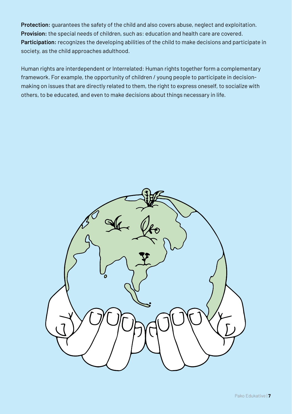**Protection:** guarantees the safety of the child and also covers abuse, neglect and exploitation. **Provision:** the special needs of children, such as: education and health care are covered. **Participation:** recognizes the developing abilities of the child to make decisions and participate in society, as the child approaches adulthood.

Human rights are interdependent or Interrelated: Human rights together form a complementary framework. For example, the opportunity of children / young people to participate in decisionmaking on issues that are directly related to them, the right to express oneself, to socialize with others, to be educated, and even to make decisions about things necessary in life.

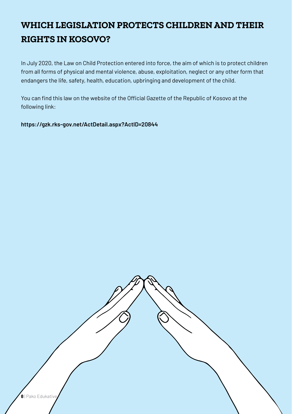# **WHICH LEGISLATION PROTECTS CHILDREN AND THEIR RIGHTS IN KOSOVO?**

In July 2020, the Law on Child Protection entered into force, the aim of which is to protect children from all forms of physical and mental violence, abuse, exploitation, neglect or any other form that endangers the life, safety, health, education, upbringing and development of the child.

You can find this law on the website of the Official Gazette of the Republic of Kosovo at the following link:

**https://gzk.rks-gov.net/ActDetail.aspx?ActID=20844**

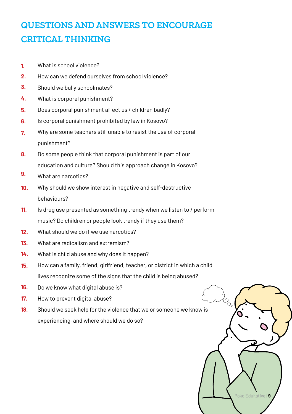# **QUESTIONS AND ANSWERS TO ENCOURAGE CRITICAL THINKING**

- What is school violence? **1.**
- How can we defend ourselves from school violence? **2.**
- Should we bully schoolmates? **3.**
- What is corporal punishment? **4.**
- Does corporal punishment affect us / children badly? **5.**
- Is corporal punishment prohibited by law in Kosovo? **6.**
- Why are some teachers still unable to resist the use of corporal punishment? **7.**
- Do some people think that corporal punishment is part of our education and culture? Should this approach change in Kosovo? **8.**
- What are narcotics? **9.**
- Why should we show interest in negative and self-destructive behaviours? **10.**
- Is drug use presented as something trendy when we listen to / perform music? Do children or people look trendy if they use them? **11.**
- What should we do if we use narcotics? **12.**
- What are radicalism and extremism? **13.**
- What is child abuse and why does it happen? **14.**
- How can a family, friend, girlfriend, teacher, or district in which a child lives recognize some of the signs that the child is being abused? **15.**
- Do we know what digital abuse is? **16.**
- How to prevent digital abuse? **17.**
- Should we seek help for the violence that we or someone we know is experiencing, and where should we do so? **18.**

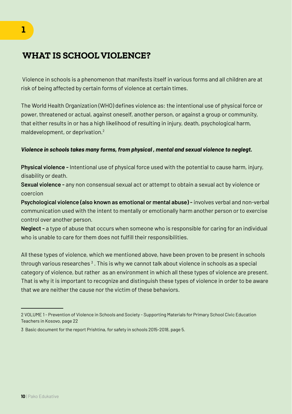### **WHAT IS SCHOOL VIOLENCE?**

 Violence in schools is a phenomenon that manifests itself in various forms and all children are at risk of being affected by certain forms of violence at certain times.

The World Health Organization (WHO) defines violence as: the intentional use of physical force or power, threatened or actual, against oneself, another person, or against a group or community, that either results in or has a high likelihood of resulting in injury, death, psychological harm, maldevelopment, or deprivation.2

#### *Violence in schools takes many forms, from physical , mental and sexual violence to neglegt.*

**Physical violence -** Intentional use of physical force used with the potential to cause harm, injury, disability or death.

**Sexual violence -** any non consensual sexual act or attempt to obtain a sexual act by violence or coercion

**Psychological violence (also known as emotional or mental abuse) -** involves verbal and non-verbal communication used with the intent to mentally or emotionally harm another person or to exercise control over another person.

**Neglect -** a type of abuse that occurs when someone who is responsible for caring for an individual who is unable to care for them does not fulfill their responsibilities.

All these types of violence, which we mentioned above, have been proven to be present in schools through various researches  $3$  . This is why we cannot talk about violence in schools as a special category of violence, but rather as an environment in which all these types of violence are present. That is why it is important to recognize and distinguish these types of violence in order to be aware that we are neither the cause nor the victim of these behaviors.

<sup>2</sup> VOLUME 1 - Prevention of Violence in Schools and Society - Supporting Materials for Primary School Civic Education Teachers in Kosovo, page 22

<sup>3</sup> Basic document for the report Prishtina, for safety in schools 2015-2018, page 5.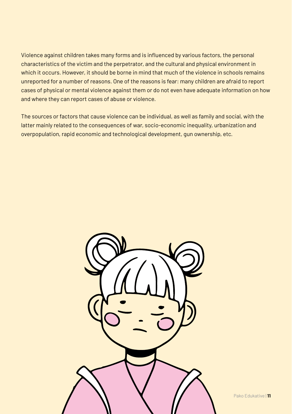Violence against children takes many forms and is influenced by various factors, the personal characteristics of the victim and the perpetrator, and the cultural and physical environment in which it occurs. However, it should be borne in mind that much of the violence in schools remains unreported for a number of reasons. One of the reasons is fear: many children are afraid to report cases of physical or mental violence against them or do not even have adequate information on how and where they can report cases of abuse or violence.

The sources or factors that cause violence can be individual, as well as family and social, with the latter mainly related to the consequences of war, socio-economic inequality, urbanization and overpopulation, rapid economic and technological development, gun ownership, etc.



Pako Edukative | **11**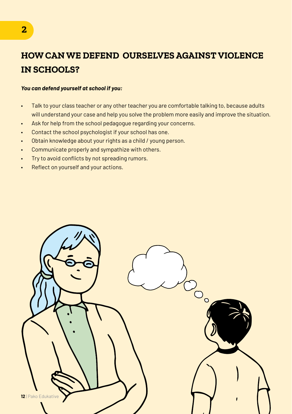# **HOW CAN WE DEFEND OURSELVES AGAINST VIOLENCE IN SCHOOLS?**

#### *You can defend yourself at school if you:*

- Talk to your class teacher or any other teacher you are comfortable talking to, because adults will understand your case and help you solve the problem more easily and improve the situation.
- Ask for help from the school pedagogue regarding your concerns.
- Contact the school psychologist if your school has one.
- Obtain knowledge about your rights as a child / young person.
- Communicate properly and sympathize with others.
- Try to avoid conflicts by not spreading rumors.
- Reflect on yourself and your actions.

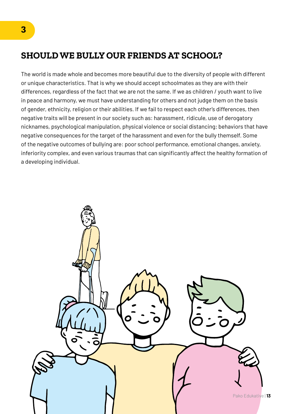### **SHOULD WE BULLY OUR FRIENDS AT SCHOOL?**

The world is made whole and becomes more beautiful due to the diversity of people with different or unique characteristics. That is why we should accept schoolmates as they are with their differences, regardless of the fact that we are not the same. If we as children / youth want to live in peace and harmony, we must have understanding for others and not judge them on the basis of gender, ethnicity, religion or their abilities. If we fail to respect each other's differences, then negative traits will be present in our society such as: harassment, ridicule, use of derogatory nicknames, psychological manipulation, physical violence or social distancing; behaviors that have negative consequences for the target of the harassment and even for the bully themself. Some of the negative outcomes of bullying are: poor school performance, emotional changes, anxiety, inferiority complex, and even various traumas that can significantly affect the healthy formation of a developing individual.

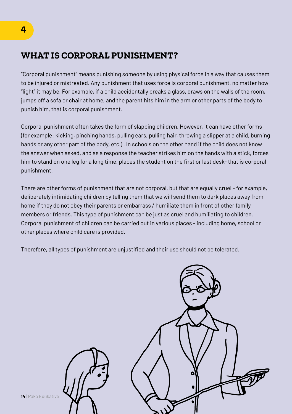### **WHAT IS CORPORAL PUNISHMENT?**

"Corporal punishment" means punishing someone by using physical force in a way that causes them to be injured or mistreated. Any punishment that uses force is corporal punishment, no matter how "light" it may be. For example, if a child accidentally breaks a glass, draws on the walls of the room, jumps off a sofa or chair at home, and the parent hits him in the arm or other parts of the body to punish him, that is corporal punishment.

Corporal punishment often takes the form of slapping children. However, it can have other forms (for example: kicking, pinching hands, pulling ears, pulling hair, throwing a slipper at a child, burning hands or any other part of the body, etc.) . In schools on the other hand if the child does not know the answer when asked, and as a response the teacher strikes him on the hands with a stick, forces him to stand on one leg for a long time, places the student on the first or last desk- that is corporal punishment.

There are other forms of punishment that are not corporal, but that are equally cruel - for example, deliberately intimidating children by telling them that we will send them to dark places away from home if they do not obey their parents or embarrass / humiliate them in front of other family members or friends. This type of punishment can be just as cruel and humiliating to children. Corporal punishment of children can be carried out in various places - including home, school or other places where child care is provided.

Therefore, all types of punishment are unjustified and their use should not be tolerated.



**14** | Pako Edukative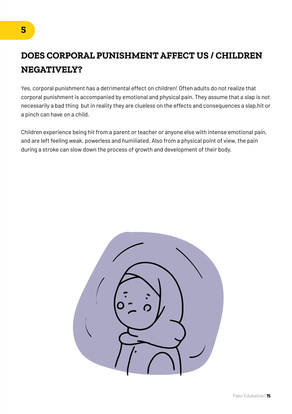# **DOES CORPORAL PUNISHMENT AFFECT US / CHILDREN NEGATIVELY?**

Yes, corporal punishment has a detrimental effect on children! Often adults do not realize that corporal punishment is accompanied by emotional and physical pain. They assume that a slap is not necessarily a bad thing but in reality they are clueless on the effects and consequences a slap,hit or a pinch can have on a child.

Children experience being hit from a parent or teacher or anyone else with intense emotional pain, and are left feeling weak, powerless and humiliated. Also from a physical point of view, the pain during a stroke can slow down the process of growth and development of their body.

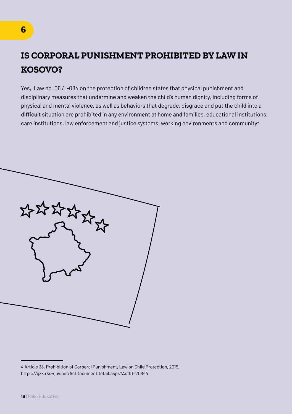# **IS CORPORAL PUNISHMENT PROHIBITED BY LAW IN KOSOVO?**

Yes, Law no. 06 / l-084 on the protection of children states that physical punishment and disciplinary measures that undermine and weaken the child's human dignity, including forms of physical and mental violence, as well as behaviors that degrade, disgrace and put the child into a difficult situation are prohibited in any environment at home and families, educational institutions, care institutions, law enforcement and justice systems, working environments and community<sup>4</sup>



<sup>4</sup> Article 38, Prohibition of Corporal Punishment, Law on Child Protection, 2019, https://gzk.rks-gov.net/ActDocumentDetail.aspk?ActID=20844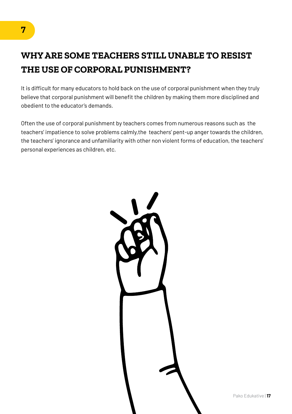# **WHY ARE SOME TEACHERS STILL UNABLE TO RESIST THE USE OF CORPORAL PUNISHMENT?**

It is difficult for many educators to hold back on the use of corporal punishment when they truly believe that corporal punishment will benefit the children by making them more disciplined and obedient to the educator's demands.

Often the use of corporal punishment by teachers comes from numerous reasons such as the teachers' impatience to solve problems calmly,the teachers' pent-up anger towards the children, the teachers' ignorance and unfamiliarity with other non violent forms of education, the teachers' personal experiences as children, etc.

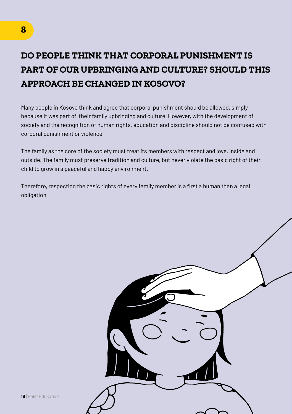# **DO PEOPLE THINK THAT CORPORAL PUNISHMENT IS PART OF OUR UPBRINGING AND CULTURE? SHOULD THIS APPROACH BE CHANGED IN KOSOVO?**

Many people in Kosovo think and agree that corporal punishment should be allowed, simply because it was part of their family upbringing and culture. However, with the development of society and the recognition of human rights, education and discipline should not be confused with corporal punishment or violence.

The family as the core of the society must treat its members with respect and love, inside and outside. The family must preserve tradition and culture, but never violate the basic right of their child to grow in a peaceful and happy environment.

Therefore, respecting the basic rights of every family member is a first a human then a legal obligation.

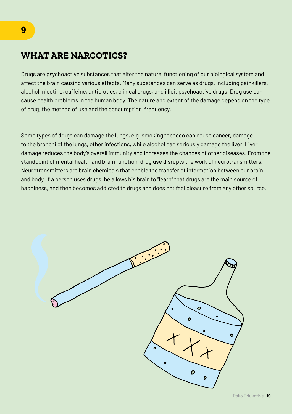Drugs are psychoactive substances that alter the natural functioning of our biological system and affect the brain causing various effects. Many substances can serve as drugs, including painkillers, alcohol, nicotine, caffeine, antibiotics, clinical drugs, and illicit psychoactive drugs. Drug use can cause health problems in the human body. The nature and extent of the damage depend on the type of drug, the method of use and the consumption frequency.

Some types of drugs can damage the lungs, e.g. smoking tobacco can cause cancer, damage to the bronchi of the lungs, other infections, while alcohol can seriously damage the liver. Liver damage reduces the body's overall immunity and increases the chances of other diseases. From the standpoint of mental health and brain function, drug use disrupts the work of neurotransmitters. Neurotransmitters are brain chemicals that enable the transfer of information between our brain and body. If a person uses drugs, he allows his brain to "learn" that drugs are the main source of happiness, and then becomes addicted to drugs and does not feel pleasure from any other source.



Pako Edukative | **19**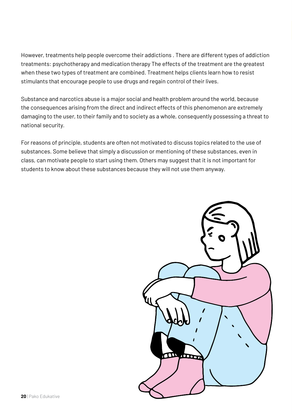However, treatments help people overcome their addictions . There are different types of addiction treatments: psychotherapy and medication therapy The effects of the treatment are the greatest when these two types of treatment are combined. Treatment helps clients learn how to resist stimulants that encourage people to use drugs and regain control of their lives.

Substance and narcotics abuse is a major social and health problem around the world, because the consequences arising from the direct and indirect effects of this phenomenon are extremely damaging to the user, to their family and to society as a whole, consequently possessing a threat to national security.

For reasons of principle, students are often not motivated to discuss topics related to the use of substances. Some believe that simply a discussion or mentioning of these substances, even in class, can motivate people to start using them. Others may suggest that it is not important for students to know about these substances because they will not use them anyway.

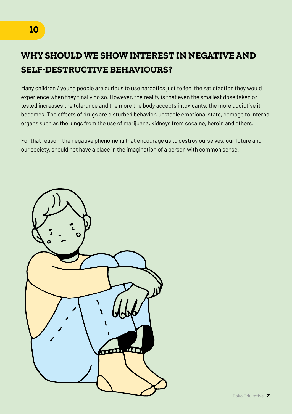# **WHY SHOULD WE SHOW INTEREST IN NEGATIVE AND SELF-DESTRUCTIVE BEHAVIOURS?**

Many children / young people are curious to use narcotics just to feel the satisfaction they would experience when they finally do so. However, the reality is that even the smallest dose taken or tested increases the tolerance and the more the body accepts intoxicants, the more addictive it becomes. The effects of drugs are disturbed behavior, unstable emotional state, damage to internal organs such as the lungs from the use of marijuana, kidneys from cocaine, heroin and others.

For that reason, the negative phenomena that encourage us to destroy ourselves, our future and our society, should not have a place in the imagination of a person with common sense.

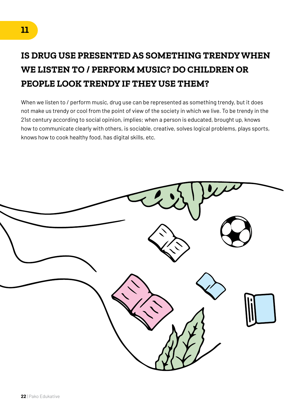# **IS DRUG USE PRESENTED AS SOMETHING TRENDY WHEN WE LISTEN TO / PERFORM MUSIC? DO CHILDREN OR PEOPLE LOOK TRENDY IF THEY USE THEM?**

When we listen to / perform music, drug use can be represented as something trendy, but it does not make us trendy or cool from the point of view of the society in which we live. To be trendy in the 21st century according to social opinion, implies; when a person is educated, brought up, knows how to communicate clearly with others, is sociable, creative, solves logical problems, plays sports, knows how to cook healthy food, has digital skills, etc.

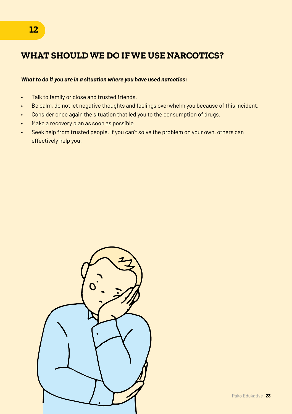#### *What to do if you are in a situation where you have used narcotics:*

- Talk to family or close and trusted friends.
- Be calm, do not let negative thoughts and feelings overwhelm you because of this incident.
- Consider once again the situation that led you to the consumption of drugs.
- Make a recovery plan as soon as possible
- Seek help from trusted people. If you can't solve the problem on your own, others can effectively help you.

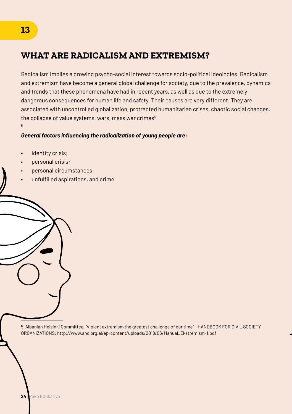### **WHAT ARE RADICALISM AND EXTREMISM?**

Radicalism implies a growing psycho-social interest towards socio-political ideologies. Radicalism and extremism have become a general global challenge for society, due to the prevalence, dynamics and trends that these phenomena have had in recent years, as well as due to the extremely dangerous consequences for human life and safety. Their causes are very different. They are associated with uncontrolled globalization, protracted humanitarian crises, chaotic social changes, the collapse of value systems, wars, mass war crimes<sup>5</sup> 6

#### *General factors influencing the radicalization of young people are:*

- identity crisis;
- personal crisis;
- personal circumstances;
- unfulfilled aspirations, and crime.

5 Albanian Helsinki Committee, "Violent extremism the greatest challenge of our time" - HANDBOOK FOR CIVIL SOCIETY ORGANIZATIONS: http://www.ahc.org.al/ep-content/uploads/2018/06/Manual\_Ekstremism-1.pdf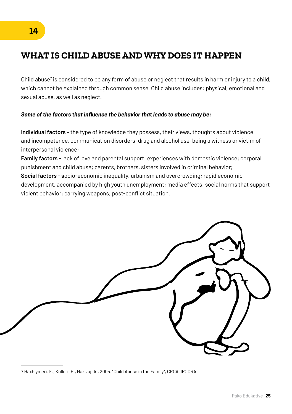### **WHAT IS CHILD ABUSE AND WHY DOES IT HAPPEN**

Child abuse<sup>7</sup> is considered to be any form of abuse or neglect that results in harm or injury to a child, which cannot be explained through common sense. Child abuse includes: physical, emotional and sexual abuse, as well as neglect.

#### *Some of the factors that influence the behavior that leads to abuse may be:*

**14**

**Individual factors -** the type of knowledge they possess, their views, thoughts about violence and incompetence, communication disorders, drug and alcohol use, being a witness or victim of interpersonal violence;

**Family factors -** lack of love and parental support; experiences with domestic violence; corporal punishment and child abuse; parents, brothers, sisters involved in criminal behavior; **Social factors - s**ocio-economic inequality, urbanism and overcrowding; rapid economic development, accompanied by high youth unemployment; media effects; social norms that support violent behavior; carrying weapons; post-conflict situation.



<sup>7</sup> Haxhiymeri. E., Kulluri. E., Hazizaj. A., 2005. "Child Abuse in the Family", CRCA, IRCCRA.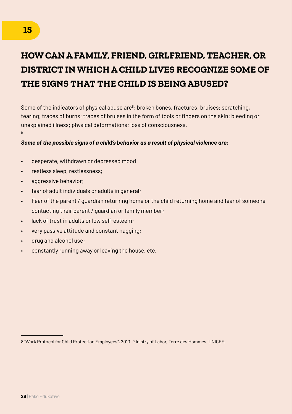# **HOW CAN A FAMILY, FRIEND, GIRLFRIEND, TEACHER, OR DISTRICT IN WHICH A CHILD LIVES RECOGNIZE SOME OF THE SIGNS THAT THE CHILD IS BEING ABUSED?**

Some of the indicators of physical abuse are<sup>8</sup>: broken bones, fractures; bruises; scratching, tearing; traces of burns; traces of bruises in the form of tools or fingers on the skin; bleeding or unexplained illness; physical deformations; loss of consciousness.  $\alpha$ 

### *Some of the possible signs of a child's behavior as a result of physical violence are:*

- desperate, withdrawn or depressed mood
- restless sleep, restlessness;
- aggressive behavior;
- fear of adult individuals or adults in general;
- Fear of the parent / guardian returning home or the child returning home and fear of someone contacting their parent / guardian or family member;
- lack of trust in adults or low self-esteem:
- very passive attitude and constant nagging;
- drug and alcohol use;
- constantly running away or leaving the house, etc.

<sup>8 &</sup>quot;Work Protocol for Child Protection Employees", 2010. Ministry of Labor, Terre des Hommes, UNICEF.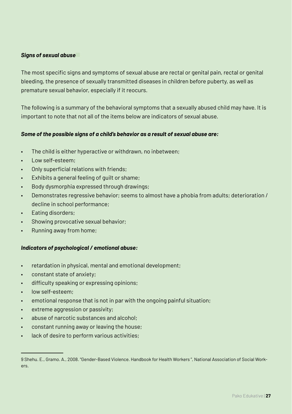#### **Signs of sexual abuse**

The most specific signs and symptoms of sexual abuse are rectal or genital pain, rectal or genital bleeding, the presence of sexually transmitted diseases in children before puberty, as well as premature sexual behavior, especially if it reocurs.

The following is a summary of the behavioral symptoms that a sexually abused child may have. It is important to note that not all of the items below are indicators of sexual abuse.

#### *Some of the possible signs of a child's behavior as a result of sexual abuse are:*

- The child is either hyperactive or withdrawn, no inbetween;
- Low self-esteem:
- Only superficial relations with friends;
- Exhibits a general feeling of guilt or shame;
- Body dysmorphia expressed through drawings;
- Demonstrates regressive behavior; seems to almost have a phobia from adults; deterioration / decline in school performance;
- Eating disorders;
- Showing provocative sexual behavior;
- Running away from home;

#### *Indicators of psychological / emotional abuse:*

- retardation in physical, mental and emotional development;
- constant state of anxiety;
- difficulty speaking or expressing opinions;
- low self-esteem;
- emotional response that is not in par with the ongoing painful situation;
- extreme aggression or passivity;
- abuse of narcotic substances and alcohol;
- constant running away or leaving the house;
- lack of desire to perform various activities;

<sup>9</sup> Shehu. E., Gramo. A., 2008. "Gender-Based Violence. Handbook for Health Workers ", National Association of Social Workers.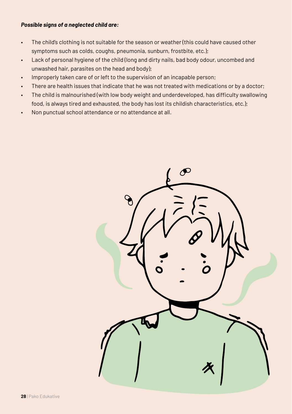#### *Possible signs of a neglected child are:*

- The child's clothing is not suitable for the season or weather (this could have caused other symptoms such as colds, coughs, pneumonia, sunburn, frostbite, etc.);
- Lack of personal hygiene of the child (long and dirty nails, bad body odour, uncombed and unwashed hair, parasites on the head and body);
- Improperly taken care of or left to the supervision of an incapable person;
- There are health issues that indicate that he was not treated with medications or by a doctor;
- The child is malnourished (with low body weight and underdeveloped, has difficulty swallowing food, is always tired and exhausted, the body has lost its childish characteristics, etc.);
- Non punctual school attendance or no attendance at all.

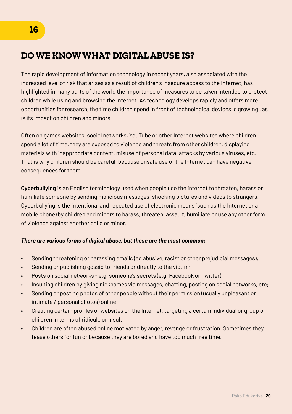### **DO WE KNOW WHAT DIGITAL ABUSE IS?**

The rapid development of information technology in recent years, also associated with the increased level of risk that arises as a result of children's insecure access to the Internet, has highlighted in many parts of the world the importance of measures to be taken intended to protect children while using and browsing the Internet. As technology develops rapidly and offers more opportunities for research, the time children spend in front of technological devices is growing , as is its impact on children and minors.

Often on games websites, social networks, YouTube or other Internet websites where children spend a lot of time, they are exposed to violence and threats from other children, displaying materials with inappropriate content, misuse of personal data, attacks by various viruses, etc. That is why children should be careful, because unsafe use of the Internet can have negative consequences for them.

**Cyberbullying** is an English terminology used when people use the internet to threaten, harass or humiliate someone by sending malicious messages, shocking pictures and videos to strangers. Cyberbullying is the intentional and repeated use of electronic means (such as the Internet or a mobile phone) by children and minors to harass, threaten, assault, humiliate or use any other form of violence against another child or minor.

### *There are various forms of digital abuse, but these are the most common:*

- Sending threatening or harassing emails (eg abusive, racist or other prejudicial messages);
- Sending or publishing gossip to friends or directly to the victim;
- Posts on social networks e.g. someone's secrets (e.g. Facebook or Twitter);
- Insulting children by giving nicknames via messages, chatting, posting on social networks, etc;
- Sending or posting photos of other people without their permission (usually unpleasant or intimate / personal photos) online;
- Creating certain profiles or websites on the Internet, targeting a certain individual or group of children in terms of ridicule or insult.
- Children are often abused online motivated by anger, revenge or frustration. Sometimes they tease others for fun or because they are bored and have too much free time.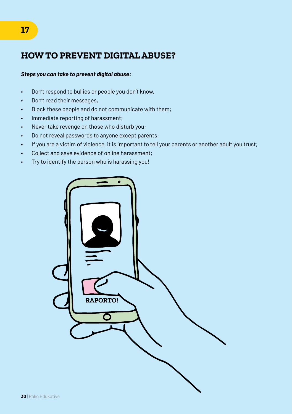#### *Steps you can take to prevent digital abuse:*

- Don't respond to bullies or people you don't know,
- Don't read their messages,
- Block these people and do not communicate with them;
- Immediate reporting of harassment;
- Never take revenge on those who disturb you;
- Do not reveal passwords to anyone except parents;
- If you are a victim of violence, it is important to tell your parents or another adult you trust;
- Collect and save evidence of online harassment;
- Try to identify the person who is harassing you!

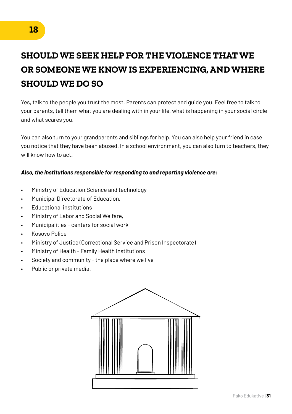# **SHOULD WE SEEK HELP FOR THE VIOLENCE THAT WE OR SOMEONE WE KNOW IS EXPERIENCING, AND WHERE SHOULD WE DO SO**

Yes, talk to the people you trust the most. Parents can protect and guide you. Feel free to talk to your parents, tell them what you are dealing with in your life, what is happening in your social circle and what scares you.

You can also turn to your grandparents and siblings for help. You can also help your friend in case you notice that they have been abused. In a school environment, you can also turn to teachers, they will know how to act.

#### *Also, the institutions responsible for responding to and reporting violence are:*

- Ministry of Education,Science and technology,
- Municipal Directorate of Education,
- Educational institutions
- Ministry of Labor and Social Welfare,
- Municipalities centers for social work
- Kosovo Police
- Ministry of Justice (Correctional Service and Prison Inspectorate)
- Ministry of Health Family Health Institutions
- Society and community the place where we live
- Public or private media.